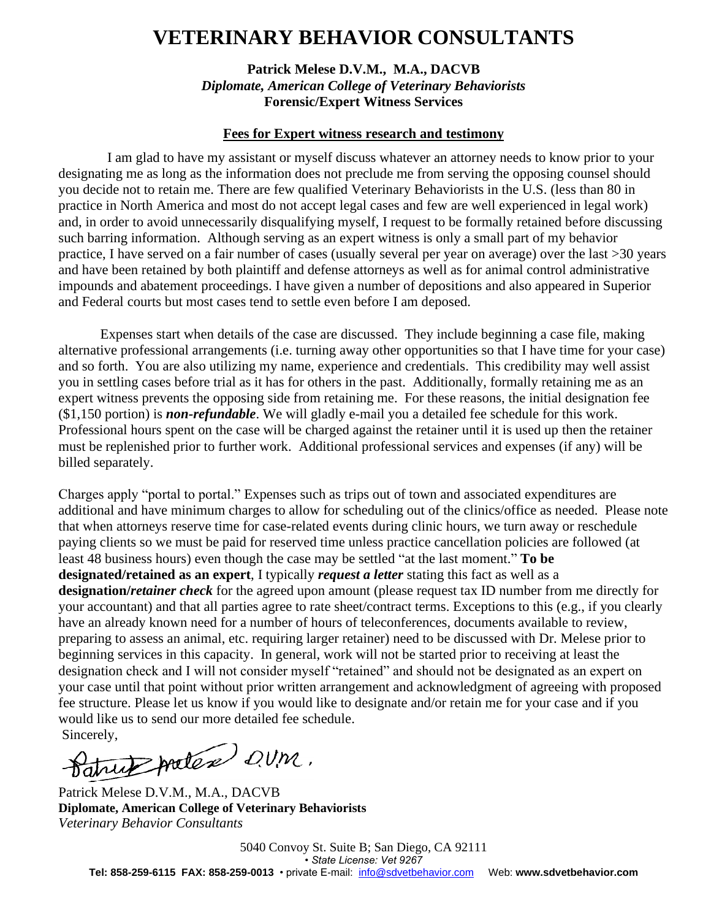## **VETERINARY BEHAVIOR CONSULTANTS**

**Patrick Melese D.V.M., M.A., DACVB** *Diplomate, American College of Veterinary Behaviorists* **Forensic/Expert Witness Services**

## **Fees for Expert witness research and testimony**

 I am glad to have my assistant or myself discuss whatever an attorney needs to know prior to your designating me as long as the information does not preclude me from serving the opposing counsel should you decide not to retain me. There are few qualified Veterinary Behaviorists in the U.S. (less than 80 in practice in North America and most do not accept legal cases and few are well experienced in legal work) and, in order to avoid unnecessarily disqualifying myself, I request to be formally retained before discussing such barring information. Although serving as an expert witness is only a small part of my behavior practice, I have served on a fair number of cases (usually several per year on average) over the last >30 years and have been retained by both plaintiff and defense attorneys as well as for animal control administrative impounds and abatement proceedings. I have given a number of depositions and also appeared in Superior and Federal courts but most cases tend to settle even before I am deposed.

Expenses start when details of the case are discussed. They include beginning a case file, making alternative professional arrangements (i.e. turning away other opportunities so that I have time for your case) and so forth. You are also utilizing my name, experience and credentials. This credibility may well assist you in settling cases before trial as it has for others in the past. Additionally, formally retaining me as an expert witness prevents the opposing side from retaining me. For these reasons, the initial designation fee (\$1,150 portion) is *non-refundable*. We will gladly e-mail you a detailed fee schedule for this work. Professional hours spent on the case will be charged against the retainer until it is used up then the retainer must be replenished prior to further work. Additional professional services and expenses (if any) will be billed separately.

Charges apply "portal to portal." Expenses such as trips out of town and associated expenditures are additional and have minimum charges to allow for scheduling out of the clinics/office as needed. Please note that when attorneys reserve time for case-related events during clinic hours, we turn away or reschedule paying clients so we must be paid for reserved time unless practice cancellation policies are followed (at least 48 business hours) even though the case may be settled "at the last moment." **To be designated/retained as an expert**, I typically *request a letter* stating this fact as well as a **designation/***retainer check* for the agreed upon amount (please request tax ID number from me directly for your accountant) and that all parties agree to rate sheet/contract terms. Exceptions to this (e.g., if you clearly have an already known need for a number of hours of teleconferences, documents available to review, preparing to assess an animal, etc. requiring larger retainer) need to be discussed with Dr. Melese prior to beginning services in this capacity. In general, work will not be started prior to receiving at least the designation check and I will not consider myself "retained" and should not be designated as an expert on your case until that point without prior written arrangement and acknowledgment of agreeing with proposed fee structure. Please let us know if you would like to designate and/or retain me for your case and if you would like us to send our more detailed fee schedule.

Sincerely,<br>Datrick protex QUM.

Patrick Melese D.V.M., M.A., DACVB **Diplomate, American College of Veterinary Behaviorists** *Veterinary Behavior Consultants*

5040 Convoy St. Suite B; San Diego, CA 92111 *• State License: Vet 9267* **Tel: 858-259-6115 FAX: 858-259-0013** • private E-mail: [info@sdvetbehavior.com](mailto:pmelese@earthlink.net) Web: **www.sdvetbehavior.com**